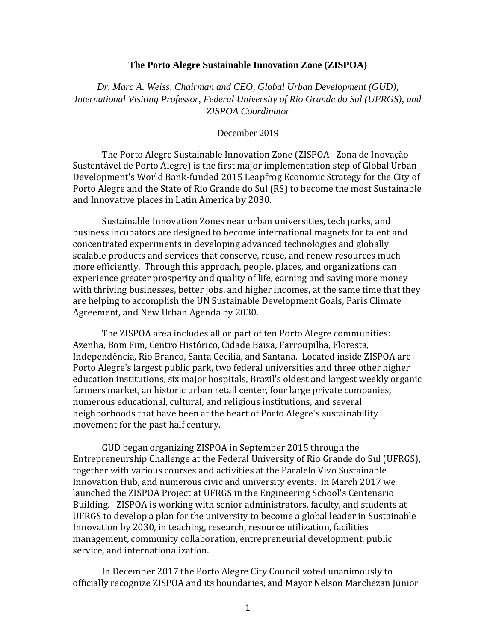## **The Porto Alegre Sustainable Innovation Zone (ZISPOA)**

*Dr. Marc A. Weiss, Chairman and CEO, Global Urban Development (GUD), International Visiting Professor, Federal University of Rio Grande do Sul (UFRGS), and ZISPOA Coordinator*

## December 2019

The Porto Alegre Sustainable Innovation Zone (ZISPOA--Zona de Inovação Sustentável de Porto Alegre) is the first major implementation step of Global Urban Development's World Bank-funded 2015 Leapfrog Economic Strategy for the City of Porto Alegre and the State of Rio Grande do Sul (RS) to become the most Sustainable and Innovative places in Latin America by 2030.

Sustainable Innovation Zones near urban universities, tech parks, and business incubators are designed to become international magnets for talent and concentrated experiments in developing advanced technologies and globally scalable products and services that conserve, reuse, and renew resources much more efficiently. Through this approach, people, places, and organizations can experience greater prosperity and quality of life, earning and saving more money with thriving businesses, better jobs, and higher incomes, at the same time that they are helping to accomplish the UN Sustainable Development Goals, Paris Climate Agreement, and New Urban Agenda by 2030.

The ZISPOA area includes all or part of ten Porto Alegre communities: Azenha, Bom Fim, Centro Histórico, Cidade Baixa, Farroupilha, Floresta, Independência, Rio Branco, Santa Cecilia, and Santana. Located inside ZISPOA are Porto Alegre's largest public park, two federal universities and three other higher education institutions, six major hospitals, Brazil's oldest and largest weekly organic farmers market, an historic urban retail center, four large private companies, numerous educational, cultural, and religious institutions, and several neighborhoods that have been at the heart of Porto Alegre's sustainability movement for the past half century.

GUD began organizing ZISPOA in September 2015 through the Entrepreneurship Challenge at the Federal University of Rio Grande do Sul (UFRGS), together with various courses and activities at the Paralelo Vivo Sustainable Innovation Hub, and numerous civic and university events. In March 2017 we launched the ZISPOA Project at UFRGS in the Engineering School's Centenario Building. ZISPOA is working with senior administrators, faculty, and students at UFRGS to develop a plan for the university to become a global leader in Sustainable Innovation by 2030, in teaching, research, resource utilization, facilities management, community collaboration, entrepreneurial development, public service, and internationalization.

In December 2017 the Porto Alegre City Council voted unanimously to officially recognize ZISPOA and its boundaries, and Mayor Nelson Marchezan Júnior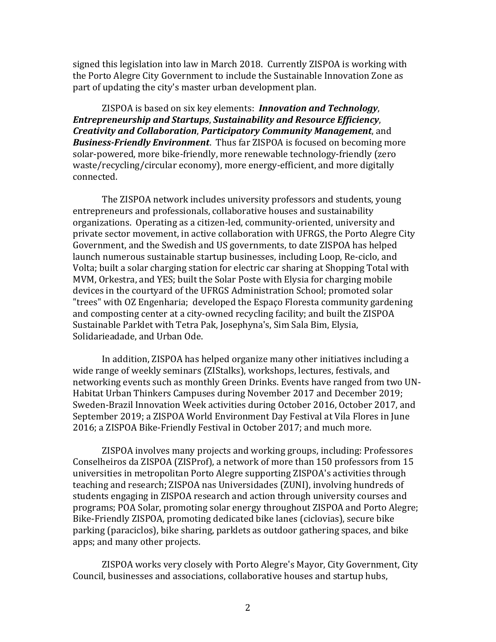signed this legislation into law in March 2018. Currently ZISPOA is working with the Porto Alegre City Government to include the Sustainable Innovation Zone as part of updating the city's master urban development plan.

ZISPOA is based on six key elements: *Innovation and Technology*, *Entrepreneurship and Startups*, *Sustainability and Resource Efficiency*, *Creativity and Collaboration*, *Participatory Community Management*, and *Business-Friendly Environment*. Thus far ZISPOA is focused on becoming more solar-powered, more bike-friendly, more renewable technology-friendly (zero waste/recycling/circular economy), more energy-efficient, and more digitally connected.

The ZISPOA network includes university professors and students, young entrepreneurs and professionals, collaborative houses and sustainability organizations. Operating as a citizen-led, community-oriented, university and private sector movement, in active collaboration with UFRGS, the Porto Alegre City Government, and the Swedish and US governments, to date ZISPOA has helped launch numerous sustainable startup businesses, including Loop, Re-ciclo, and Volta; built a solar charging station for electric car sharing at Shopping Total with MVM, Orkestra, and YES; built the Solar Poste with Elysia for charging mobile devices in the courtyard of the UFRGS Administration School; promoted solar "trees" with OZ Engenharia; developed the Espaço Floresta community gardening and composting center at a city-owned recycling facility; and built the ZISPOA Sustainable Parklet with Tetra Pak, Josephyna's, Sim Sala Bim, Elysia, Solidarieadade, and Urban Ode.

In addition, ZISPOA has helped organize many other initiatives including a wide range of weekly seminars (ZIStalks), workshops, lectures, festivals, and networking events such as monthly Green Drinks. Events have ranged from two UN-Habitat Urban Thinkers Campuses during November 2017 and December 2019; Sweden-Brazil Innovation Week activities during October 2016, October 2017, and September 2019; a ZISPOA World Environment Day Festival at Vila Flores in June 2016; a ZISPOA Bike-Friendly Festival in October 2017; and much more.

ZISPOA involves many projects and working groups, including: Professores Conselheiros da ZISPOA (ZISProf), a network of more than 150 professors from 15 universities in metropolitan Porto Alegre supporting ZISPOA's activities through teaching and research; ZISPOA nas Universidades (ZUNI), involving hundreds of students engaging in ZISPOA research and action through university courses and programs; POA Solar, promoting solar energy throughout ZISPOA and Porto Alegre; Bike-Friendly ZISPOA, promoting dedicated bike lanes (ciclovias), secure bike parking (paraciclos), bike sharing, parklets as outdoor gathering spaces, and bike apps; and many other projects.

ZISPOA works very closely with Porto Alegre's Mayor, City Government, City Council, businesses and associations, collaborative houses and startup hubs,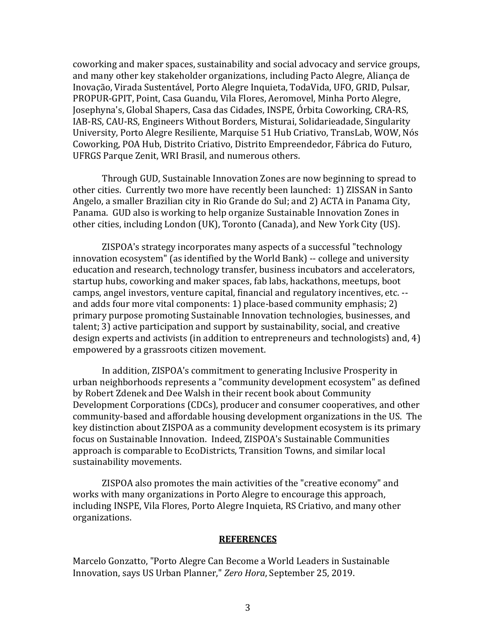coworking and maker spaces, sustainability and social advocacy and service groups, and many other key stakeholder organizations, including Pacto Alegre, Aliança de Inovação, Virada Sustentável, Porto Alegre Inquieta, TodaVida, UFO, GRID, Pulsar, PROPUR-GPIT, Point, Casa Guandu, Vila Flores, Aeromovel, Minha Porto Alegre, Josephyna's, Global Shapers, Casa das Cidades, INSPE, Órbita Coworking, CRA‐RS, IAB-RS, CAU-RS, Engineers Without Borders, Misturai, Solidarieadade, Singularity University, Porto Alegre Resiliente, Marquise 51 Hub Criativo, TransLab, WOW, Nós Coworking, POA Hub, Distrito Criativo, Distrito Empreendedor, Fábrica do Futuro, UFRGS Parque Zenit, WRI Brasil, and numerous others.

Through GUD, Sustainable Innovation Zones are now beginning to spread to other cities. Currently two more have recently been launched: 1) ZISSAN in Santo Angelo, a smaller Brazilian city in Rio Grande do Sul; and 2) ACTA in Panama City, Panama. GUD also is working to help organize Sustainable Innovation Zones in other cities, including London (UK), Toronto (Canada), and New York City (US).

ZISPOA's strategy incorporates many aspects of a successful "technology innovation ecosystem" (as identified by the World Bank) -- college and university education and research, technology transfer, business incubators and accelerators, startup hubs, coworking and maker spaces, fab labs, hackathons, meetups, boot camps, angel investors, venture capital, financial and regulatory incentives, etc. - and adds four more vital components: 1) place-based community emphasis; 2) primary purpose promoting Sustainable Innovation technologies, businesses, and talent; 3) active participation and support by sustainability, social, and creative design experts and activists (in addition to entrepreneurs and technologists) and, 4) empowered by a grassroots citizen movement.

In addition, ZISPOA's commitment to generating Inclusive Prosperity in urban neighborhoods represents a "community development ecosystem" as defined by Robert Zdenek and Dee Walsh in their recent book about Community Development Corporations (CDCs), producer and consumer cooperatives, and other community-based and affordable housing development organizations in the US. The key distinction about ZISPOA as a community development ecosystem is its primary focus on Sustainable Innovation. Indeed, ZISPOA's Sustainable Communities approach is comparable to EcoDistricts, Transition Towns, and similar local sustainability movements.

ZISPOA also promotes the main activities of the "creative economy" and works with many organizations in Porto Alegre to encourage this approach, including INSPE, Vila Flores, Porto Alegre Inquieta, RS Criativo, and many other organizations.

## **REFERENCES**

Marcelo Gonzatto, "Porto Alegre Can Become a World Leaders in Sustainable Innovation, says US Urban Planner," *Zero Hora*, September 25, 2019.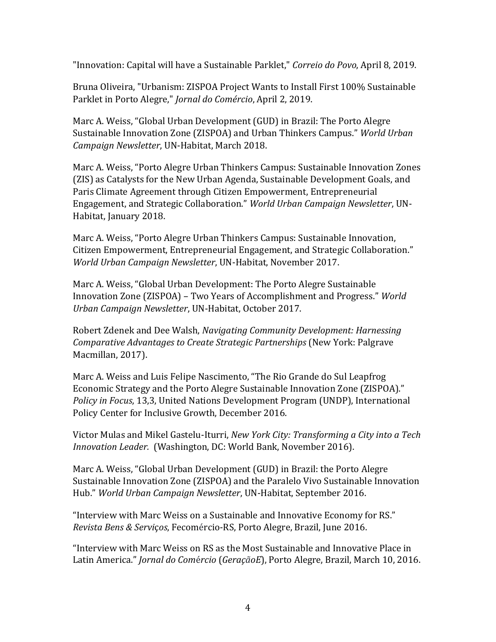"Innovation: Capital will have a Sustainable Parklet," *Correio do Povo*, April 8, 2019.

Bruna Oliveira, "Urbanism: ZISPOA Project Wants to Install First 100% Sustainable Parklet in Porto Alegre," *Jornal do Comércio*, April 2, 2019.

Marc A. Weiss, "Global Urban Development (GUD) in Brazil: The Porto Alegre Sustainable Innovation Zone (ZISPOA) and Urban Thinkers Campus." *World Urban Campaign Newsletter*, UN-Habitat, March 2018.

Marc A. Weiss, "Porto Alegre Urban Thinkers Campus: Sustainable Innovation Zones (ZIS) as Catalysts for the New Urban Agenda, Sustainable Development Goals, and Paris Climate Agreement through Citizen Empowerment, Entrepreneurial Engagement, and Strategic Collaboration." *World Urban Campaign Newsletter*, UN-Habitat, January 2018.

Marc A. Weiss, "Porto Alegre Urban Thinkers Campus: Sustainable Innovation, Citizen Empowerment, Entrepreneurial Engagement, and Strategic Collaboration." *World Urban Campaign Newsletter*, UN-Habitat, November 2017.

Marc A. Weiss, "Global Urban Development: The Porto Alegre Sustainable Innovation Zone (ZISPOA) – Two Years of Accomplishment and Progress." *World Urban Campaign Newsletter*, UN-Habitat, October 2017.

Robert Zdenek and Dee Walsh, *Navigating Community Development: Harnessing Comparative Advantages to Create Strategic Partnerships* (New York: Palgrave Macmillan, 2017).

Marc A. Weiss and Luis Felipe Nascimento, "The Rio Grande do Sul Leapfrog Economic Strategy and the Porto Alegre Sustainable Innovation Zone (ZISPOA)." *Policy in Focus*, 13,3, United Nations Development Program (UNDP), International Policy Center for Inclusive Growth, December 2016.

Victor Mulas and Mikel Gastelu-Iturri, *New York City: Transforming a City into a Tech Innovation Leader.* (Washington, DC: World Bank, November 2016).

Marc A. Weiss, "Global Urban Development (GUD) in Brazil: the Porto Alegre Sustainable Innovation Zone (ZISPOA) and the Paralelo Vivo Sustainable Innovation Hub." *World Urban Campaign Newsletter*, UN-Habitat, September 2016.

"Interview with Marc Weiss on a Sustainable and Innovative Economy for RS." *Revista Bens & Servi*ç*os*, Fecomércio-RS, Porto Alegre, Brazil, June 2016.

"Interview with Marc Weiss on RS as the Most Sustainable and Innovative Place in Latin America." *Jornal do Com*é*rcio* (*GeraçãoE*), Porto Alegre, Brazil, March 10, 2016.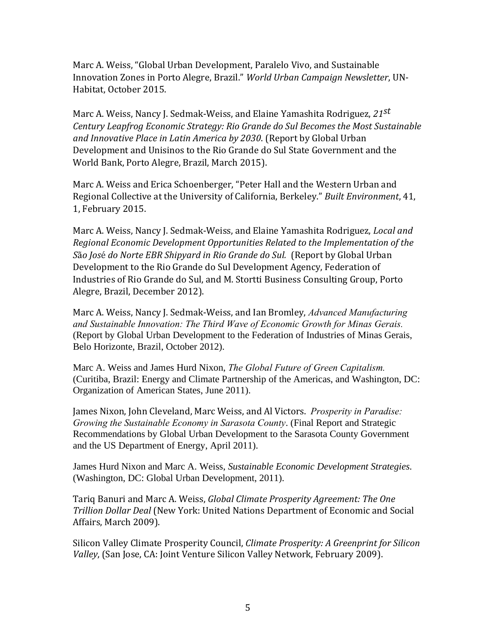Marc A. Weiss, "Global Urban Development, Paralelo Vivo, and Sustainable Innovation Zones in Porto Alegre, Brazil." *World Urban Campaign Newsletter*, UN-Habitat, October 2015.

Marc A. Weiss, Nancy J. Sedmak-Weiss, and Elaine Yamashita Rodriguez, *21st Century Leapfrog Economic Strategy: Rio Grande do Sul Becomes the Most Sustainable and Innovative Place in Latin America by 2030*. (Report by Global Urban Development and Unisinos to the Rio Grande do Sul State Government and the World Bank, Porto Alegre, Brazil, March 2015).

Marc A. Weiss and Erica Schoenberger, "Peter Hall and the Western Urban and Regional Collective at the University of California, Berkeley." *Built Environment*, 41, 1, February 2015.

Marc A. Weiss, Nancy J. Sedmak-Weiss, and Elaine Yamashita Rodriguez, *Local and Regional Economic Development Opportunities Related to the Implementation of the S*ã*o Jos*é *do Norte EBR Shipyard in Rio Grande do Sul.* (Report by Global Urban Development to the Rio Grande do Sul Development Agency, Federation of Industries of Rio Grande do Sul, and M. Stortti Business Consulting Group, Porto Alegre, Brazil, December 2012).

Marc A. Weiss, Nancy J. Sedmak-Weiss, and Ian Bromley, *Advanced Manufacturing and Sustainable Innovation: The Third Wave of Economic Growth for Minas Gerais.*  (Report by Global Urban Development to the Federation of Industries of Minas Gerais, Belo Horizonte, Brazil, October 2012).

Marc A. Weiss and James Hurd Nixon, *The Global Future of Green Capitalism.*  (Curitiba, Brazil: Energy and Climate Partnership of the Americas, and Washington, DC: Organization of American States, June 2011).

James Nixon, John Cleveland, Marc Weiss, and Al Victors. *Prosperity in Paradise: Growing the Sustainable Economy in Sarasota County*. (Final Report and Strategic Recommendations by Global Urban Development to the Sarasota County Government and the US Department of Energy, April 2011).

James Hurd Nixon and Marc A. Weiss, *Sustainable Economic Development Strategies.* (Washington, DC: Global Urban Development, 2011).

Tariq Banuri and Marc A. Weiss, *Global Climate Prosperity Agreement: The One Trillion Dollar Deal* (New York: United Nations Department of Economic and Social Affairs, March 2009).

Silicon Valley Climate Prosperity Council, *Climate Prosperity: A Greenprint for Silicon Valley*, (San Jose, CA: Joint Venture Silicon Valley Network, February 2009).